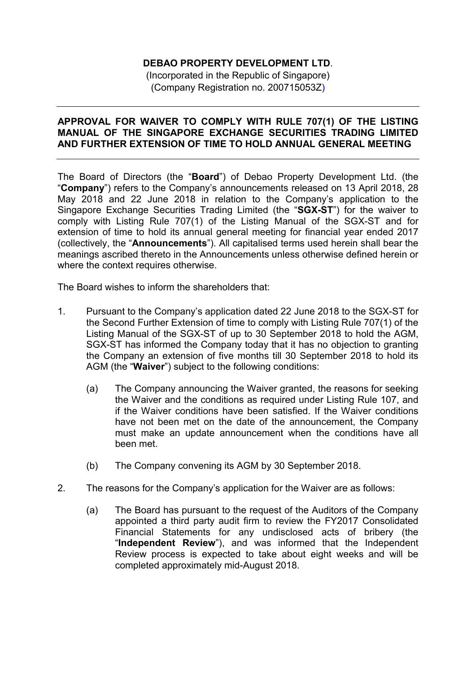## **DEBAO PROPERTY DEVELOPMENT LTD**.

(Incorporated in the Republic of Singapore) (Company Registration no. 200715053Z)

## **APPROVAL FOR WAIVER TO COMPLY WITH RULE 707(1) OF THE LISTING MANUAL OF THE SINGAPORE EXCHANGE SECURITIES TRADING LIMITED AND FURTHER EXTENSION OF TIME TO HOLD ANNUAL GENERAL MEETING**

The Board of Directors (the "**Board**") of Debao Property Development Ltd. (the "**Company**") refers to the Company's announcements released on 13 April 2018, 28 May 2018 and 22 June 2018 in relation to the Company's application to the Singapore Exchange Securities Trading Limited (the "**SGX-ST**") for the waiver to comply with Listing Rule 707(1) of the Listing Manual of the SGX-ST and for extension of time to hold its annual general meeting for financial year ended 2017 (collectively, the "**Announcements**"). All capitalised terms used herein shall bear the meanings ascribed thereto in the Announcements unless otherwise defined herein or where the context requires otherwise.

The Board wishes to inform the shareholders that:

- 1. Pursuant to the Company's application dated 22 June 2018 to the SGX-ST for the Second Further Extension of time to comply with Listing Rule 707(1) of the Listing Manual of the SGX-ST of up to 30 September 2018 to hold the AGM, SGX-ST has informed the Company today that it has no objection to granting the Company an extension of five months till 30 September 2018 to hold its AGM (the "**Waiver**") subject to the following conditions:
	- (a) The Company announcing the Waiver granted, the reasons for seeking the Waiver and the conditions as required under Listing Rule 107, and if the Waiver conditions have been satisfied. If the Waiver conditions have not been met on the date of the announcement, the Company must make an update announcement when the conditions have all been met.
	- (b) The Company convening its AGM by 30 September 2018.
- 2. The reasons for the Company's application for the Waiver are as follows:
	- (a) The Board has pursuant to the request of the Auditors of the Company appointed a third party audit firm to review the FY2017 Consolidated Financial Statements for any undisclosed acts of bribery (the "**Independent Review**"), and was informed that the Independent Review process is expected to take about eight weeks and will be completed approximately mid-August 2018.